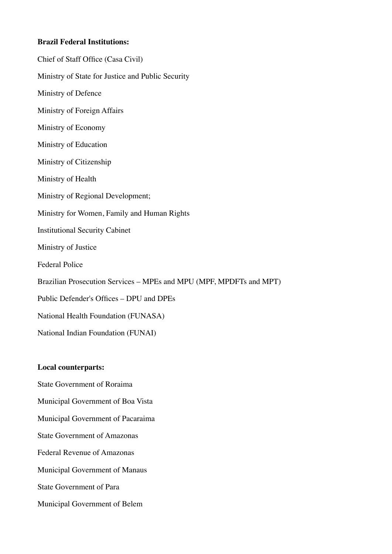### **Brazil Federal Institutions:**

Chief of Staff Office (Casa Civil) Ministry of State for Justice and Public Security Ministry of Defence Ministry of Foreign Affairs Ministry of Economy Ministry of Education Ministry of Citizenship Ministry of Health Ministry of Regional Development; Ministry for Women, Family and Human Rights Institutional Security Cabinet Ministry of Justice Federal Police Brazilian Prosecution Services – MPEs and MPU (MPF, MPDFTs and MPT) Public Defender's Offices – DPU and DPEs National Health Foundation (FUNASA) National Indian Foundation (FUNAI)

### **Local counterparts:**

State Government of Roraima

Municipal Government of Boa Vista

Municipal Government of Pacaraima

State Government of Amazonas

Federal Revenue of Amazonas

Municipal Government of Manaus

State Government of Para

Municipal Government of Belem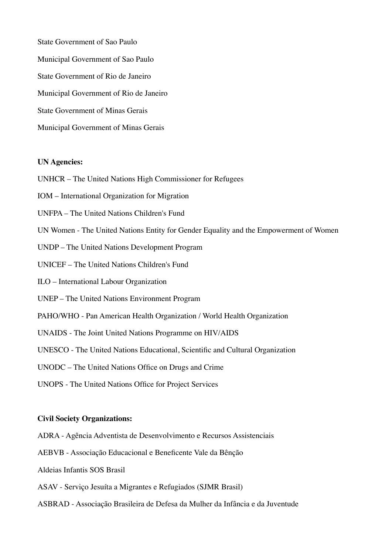State Government of Sao Paulo Municipal Government of Sao Paulo State Government of Rio de Janeiro Municipal Government of Rio de Janeiro State Government of Minas Gerais Municipal Government of Minas Gerais

### **UN Agencies:**

UNHCR – The United Nations High Commissioner for Refugees

IOM – International Organization for Migration

UNFPA – The United Nations Children's Fund

UN Women - The United Nations Entity for Gender Equality and the Empowerment of Women

UNDP – The United Nations Development Program

UNICEF – The United Nations Children's Fund

ILO – International Labour Organization

UNEP – The United Nations Environment Program

PAHO/WHO - Pan American Health Organization / World Health Organization

UNAIDS - The Joint United Nations Programme on HIV/AIDS

UNESCO - The United Nations Educational, Scientific and Cultural Organization

UNODC – The United Nations Office on Drugs and Crime

UNOPS - The United Nations Office for Project Services

#### **Civil Society Organizations:**

ADRA - Agência Adventista de Desenvolvimento e Recursos Assistenciais

AEBVB - Associação Educacional e Beneficente Vale da Bênção

Aldeias Infantis SOS Brasil

ASAV - Serviço Jesuíta a Migrantes e Refugiados (SJMR Brasil)

ASBRAD - Associação Brasileira de Defesa da Mulher da Infância e da Juventude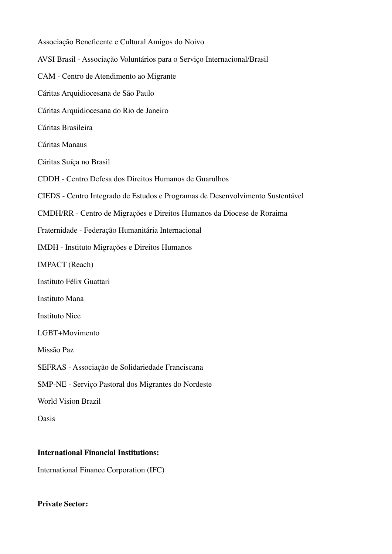| Associação Beneficente e Cultural Amigos do Noivo                              |
|--------------------------------------------------------------------------------|
| AVSI Brasil - Associação Voluntários para o Serviço Internacional/Brasil       |
| CAM - Centro de Atendimento ao Migrante                                        |
| Cáritas Arquidiocesana de São Paulo                                            |
| Cáritas Arquidiocesana do Rio de Janeiro                                       |
| Cáritas Brasileira                                                             |
| Cáritas Manaus                                                                 |
| Cáritas Suíça no Brasil                                                        |
| CDDH - Centro Defesa dos Direitos Humanos de Guarulhos                         |
| CIEDS - Centro Integrado de Estudos e Programas de Desenvolvimento Sustentável |
| CMDH/RR - Centro de Migrações e Direitos Humanos da Diocese de Roraima         |
| Fraternidade - Federação Humanitária Internacional                             |
| IMDH - Instituto Migrações e Direitos Humanos                                  |
| <b>IMPACT</b> (Reach)                                                          |
| Instituto Félix Guattari                                                       |
| Instituto Mana                                                                 |
| <b>Instituto Nice</b>                                                          |
| LGBT+Movimento                                                                 |
| Missão Paz                                                                     |
| SEFRAS - Associação de Solidariedade Franciscana                               |
| SMP-NE - Serviço Pastoral dos Migrantes do Nordeste                            |
| <b>World Vision Brazil</b>                                                     |
| Oasis                                                                          |
|                                                                                |

# **International Financial Institutions:**

International Finance Corporation (IFC)

# **Private Sector:**